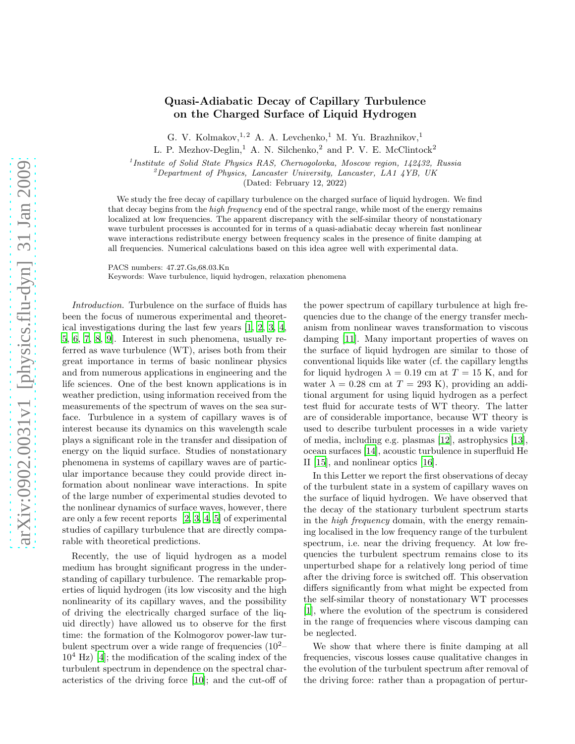## Quasi-Adiabatic Decay of Capillary Turbulence on the Charged Surface of Liquid Hydrogen

G. V. Kolmakov,  $^{1,2}$  A. A. Levchenko, <sup>1</sup> M. Yu. Brazhnikov, <sup>1</sup> L. P. Mezhov-Deglin,<sup>1</sup> A. N. Silchenko,<sup>2</sup> and P. V. E. McClintock<sup>2</sup>

<sup>1</sup> Institute of Solid State Physics RAS, Chernogolovka, Moscow region, 142432, Russia

 $^2$ Department of Physics, Lancaster University, Lancaster, LA1 4YB, UK

(Dated: February 12, 2022)

We study the free decay of capillary turbulence on the charged surface of liquid hydrogen. We find that decay begins from the *high frequency* end of the spectral range, while most of the energy remains localized at low frequencies. The apparent discrepancy with the self-similar theory of nonstationary wave turbulent processes is accounted for in terms of a quasi-adiabatic decay wherein fast nonlinear wave interactions redistribute energy between frequency scales in the presence of finite damping at all frequencies. Numerical calculations based on this idea agree well with experimental data.

PACS numbers: 47.27.Gs,68.03.Kn

Keywords: Wave turbulence, liquid hydrogen, relaxation phenomena

Introduction. Turbulence on the surface of fluids has been the focus of numerous experimental and theoretical investigations during the last few years [\[1](#page-3-0), [2,](#page-3-1) [3](#page-3-2), [4,](#page-3-3) [5](#page-3-4), [6](#page-3-5), [7,](#page-3-6) [8,](#page-3-7) [9\]](#page-3-8). Interest in such phenomena, usually referred as wave turbulence (WT), arises both from their great importance in terms of basic nonlinear physics and from numerous applications in engineering and the life sciences. One of the best known applications is in weather prediction, using information received from the measurements of the spectrum of waves on the sea surface. Turbulence in a system of capillary waves is of interest because its dynamics on this wavelength scale plays a significant role in the transfer and dissipation of energy on the liquid surface. Studies of nonstationary phenomena in systems of capillary waves are of particular importance because they could provide direct information about nonlinear wave interactions. In spite of the large number of experimental studies devoted to the nonlinear dynamics of surface waves, however, there are only a few recent reports [\[2](#page-3-1), [3,](#page-3-2) [4,](#page-3-3) [5](#page-3-4)] of experimental studies of capillary turbulence that are directly comparable with theoretical predictions.

Recently, the use of liquid hydrogen as a model medium has brought significant progress in the understanding of capillary turbulence. The remarkable properties of liquid hydrogen (its low viscosity and the high nonlinearity of its capillary waves, and the possibility of driving the electrically charged surface of the liquid directly) have allowed us to observe for the first time: the formation of the Kolmogorov power-law turbulent spectrum over a wide range of frequencies  $(10^{2} 10<sup>4</sup>$  Hz) [\[4\]](#page-3-3); the modification of the scaling index of the turbulent spectrum in dependence on the spectral characteristics of the driving force [\[10\]](#page-3-9); and the cut-off of the power spectrum of capillary turbulence at high frequencies due to the change of the energy transfer mechanism from nonlinear waves transformation to viscous damping [\[11\]](#page-3-10). Many important properties of waves on the surface of liquid hydrogen are similar to those of conventional liquids like water (cf. the capillary lengths for liquid hydrogen  $\lambda = 0.19$  cm at  $T = 15$  K, and for water  $\lambda = 0.28$  cm at  $T = 293$  K), providing an additional argument for using liquid hydrogen as a perfect test fluid for accurate tests of WT theory. The latter are of considerable importance, because WT theory is used to describe turbulent processes in a wide variety of media, including e.g. plasmas [\[12](#page-3-11)], astrophysics [\[13\]](#page-3-12), ocean surfaces [\[14\]](#page-3-13), acoustic turbulence in superfluid He II [\[15\]](#page-3-14), and nonlinear optics [\[16\]](#page-3-15).

In this Letter we report the first observations of decay of the turbulent state in a system of capillary waves on the surface of liquid hydrogen. We have observed that the decay of the stationary turbulent spectrum starts in the high frequency domain, with the energy remaining localised in the low frequency range of the turbulent spectrum, i.e. near the driving frequency. At low frequencies the turbulent spectrum remains close to its unperturbed shape for a relatively long period of time after the driving force is switched off. This observation differs significantly from what might be expected from the self-similar theory of nonstationary WT processes [\[1](#page-3-0)], where the evolution of the spectrum is considered in the range of frequencies where viscous damping can be neglected.

We show that where there is finite damping at all frequencies, viscous losses cause qualitative changes in the evolution of the turbulent spectrum after removal of the driving force: rather than a propagation of pertur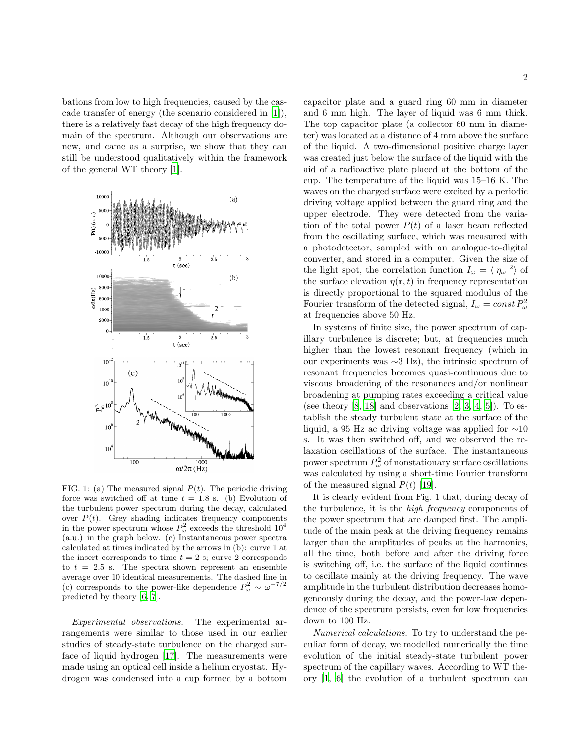bations from low to high frequencies, caused by the cascade transfer of energy (the scenario considered in [\[1](#page-3-0)]), there is a relatively fast decay of the high frequency domain of the spectrum. Although our observations are new, and came as a surprise, we show that they can still be understood qualitatively within the framework of the general WT theory [\[1\]](#page-3-0).



FIG. 1: (a) The measured signal  $P(t)$ . The periodic driving force was switched off at time  $t = 1.8$  s. (b) Evolution of the turbulent power spectrum during the decay, calculated over  $P(t)$ . Grey shading indicates frequency components in the power spectrum whose  $P_{\omega}^2$  exceeds the threshold  $10^4$ (a.u.) in the graph below. (c) Instantaneous power spectra calculated at times indicated by the arrows in (b): curve 1 at the insert corresponds to time  $t = 2$  s; curve 2 corresponds to  $t = 2.5$  s. The spectra shown represent an ensemble average over 10 identical measurements. The dashed line in (c) corresponds to the power-like dependence  $P_{\omega}^2 \sim \omega^{-7/2}$ predicted by theory [\[6,](#page-3-5) [7\]](#page-3-6).

Experimental observations. The experimental arrangements were similar to those used in our earlier studies of steady-state turbulence on the charged surface of liquid hydrogen [\[17\]](#page-3-16). The measurements were made using an optical cell inside a helium cryostat. Hydrogen was condensed into a cup formed by a bottom capacitor plate and a guard ring 60 mm in diameter and 6 mm high. The layer of liquid was 6 mm thick. The top capacitor plate (a collector 60 mm in diameter) was located at a distance of 4 mm above the surface of the liquid. A two-dimensional positive charge layer was created just below the surface of the liquid with the aid of a radioactive plate placed at the bottom of the cup. The temperature of the liquid was 15–16 K. The waves on the charged surface were excited by a periodic driving voltage applied between the guard ring and the upper electrode. They were detected from the variation of the total power  $P(t)$  of a laser beam reflected from the oscillating surface, which was measured with a photodetector, sampled with an analogue-to-digital converter, and stored in a computer. Given the size of the light spot, the correlation function  $I_{\omega} = \langle |\eta_{\omega}|^2 \rangle$  of the surface elevation  $\eta(\mathbf{r}, t)$  in frequency representation is directly proportional to the squared modulus of the Fourier transform of the detected signal,  $I_{\omega} = const P_{\omega}^2$ at frequencies above 50 Hz.

In systems of finite size, the power spectrum of capillary turbulence is discrete; but, at frequencies much higher than the lowest resonant frequency (which in our experiments was ∼3 Hz), the intrinsic spectrum of resonant frequencies becomes quasi-continuous due to viscous broadening of the resonances and/or nonlinear broadening at pumping rates exceeding a critical value (see theory  $[8, 18]$  $[8, 18]$  and observations  $[2, 3, 4, 5]$  $[2, 3, 4, 5]$  $[2, 3, 4, 5]$  $[2, 3, 4, 5]$  $[2, 3, 4, 5]$ ). To establish the steady turbulent state at the surface of the liquid, a 95 Hz ac driving voltage was applied for ∼10 s. It was then switched off, and we observed the relaxation oscillations of the surface. The instantaneous power spectrum  $P_{\omega}^2$  of nonstationary surface oscillations was calculated by using a short-time Fourier transform of the measured signal  $P(t)$  [\[19\]](#page-3-18).

It is clearly evident from Fig. 1 that, during decay of the turbulence, it is the high frequency components of the power spectrum that are damped first. The amplitude of the main peak at the driving frequency remains larger than the amplitudes of peaks at the harmonics, all the time, both before and after the driving force is switching off, i.e. the surface of the liquid continues to oscillate mainly at the driving frequency. The wave amplitude in the turbulent distribution decreases homogeneously during the decay, and the power-law dependence of the spectrum persists, even for low frequencies down to 100 Hz.

Numerical calculations. To try to understand the peculiar form of decay, we modelled numerically the time evolution of the initial steady-state turbulent power spectrum of the capillary waves. According to WT theory [\[1](#page-3-0), [6](#page-3-5)] the evolution of a turbulent spectrum can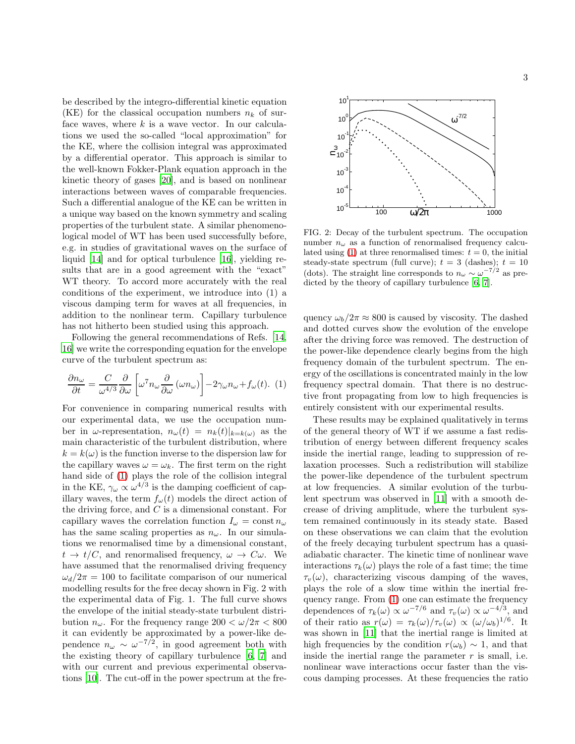be described by the integro-differential kinetic equation (KE) for the classical occupation numbers  $n_k$  of surface waves, where  $k$  is a wave vector. In our calculations we used the so-called "local approximation" for the KE, where the collision integral was approximated by a differential operator. This approach is similar to the well-known Fokker-Plank equation approach in the kinetic theory of gases [\[20](#page-3-19)], and is based on nonlinear interactions between waves of comparable frequencies. Such a differential analogue of the KE can be written in a unique way based on the known symmetry and scaling properties of the turbulent state. A similar phenomenological model of WT has been used successfully before, e.g. in studies of gravitational waves on the surface of liquid [\[14\]](#page-3-13) and for optical turbulence [\[16](#page-3-15)], yielding results that are in a good agreement with the "exact" WT theory. To accord more accurately with the real conditions of the experiment, we introduce into (1) a viscous damping term for waves at all frequencies, in addition to the nonlinear term. Capillary turbulence has not hitherto been studied using this approach.

Following the general recommendations of Refs. [\[14,](#page-3-13) [16](#page-3-15)] we write the corresponding equation for the envelope curve of the turbulent spectrum as:

<span id="page-2-0"></span>
$$
\frac{\partial n_{\omega}}{\partial t} = \frac{C}{\omega^{4/3}} \frac{\partial}{\partial \omega} \left[ \omega^7 n_{\omega} \frac{\partial}{\partial \omega} (\omega n_{\omega}) \right] - 2\gamma_{\omega} n_{\omega} + f_{\omega}(t). \tag{1}
$$

For convenience in comparing numerical results with our experimental data, we use the occupation number in  $\omega$ -representation,  $n_{\omega}(t) = n_k(t)|_{k=k(\omega)}$  as the main characteristic of the turbulent distribution, where  $k = k(\omega)$  is the function inverse to the dispersion law for the capillary waves  $\omega = \omega_k$ . The first term on the right hand side of [\(1\)](#page-2-0) plays the role of the collision integral in the KE,  $\gamma_{\omega} \propto \omega^{4/3}$  is the damping coefficient of capillary waves, the term  $f_{\omega}(t)$  models the direct action of the driving force, and  $C$  is a dimensional constant. For capillary waves the correlation function  $I_{\omega} = \text{const } n_{\omega}$ has the same scaling properties as  $n_{\omega}$ . In our simulations we renormalised time by a dimensional constant,  $t \to t/C$ , and renormalised frequency,  $\omega \to C\omega$ . We have assumed that the renormalised driving frequency  $\omega_d/2\pi = 100$  to facilitate comparison of our numerical modelling results for the free decay shown in Fig. 2 with the experimental data of Fig. 1. The full curve shows the envelope of the initial steady-state turbulent distribution  $n_{\omega}$ . For the frequency range  $200 < \omega/2\pi < 800$ it can evidently be approximated by a power-like dependence  $n_{\omega} \sim \omega^{-7/2}$ , in good agreement both with the existing theory of capillary turbulence [\[6](#page-3-5), [7\]](#page-3-6) and with our current and previous experimental observations [\[10\]](#page-3-9). The cut-off in the power spectrum at the fre-



FIG. 2: Decay of the turbulent spectrum. The occupation number  $n_{\omega}$  as a function of renormalised frequency calcu-lated using [\(1\)](#page-2-0) at three renormalised times:  $t = 0$ , the initial steady-state spectrum (full curve);  $t = 3$  (dashes);  $t = 10$ (dots). The straight line corresponds to  $n_{\omega} \sim \omega^{-7/2}$  as predicted by the theory of capillary turbulence [\[6](#page-3-5), [7\]](#page-3-6).

quency  $\omega_b/2\pi \approx 800$  is caused by viscosity. The dashed and dotted curves show the evolution of the envelope after the driving force was removed. The destruction of the power-like dependence clearly begins from the high frequency domain of the turbulent spectrum. The energy of the oscillations is concentrated mainly in the low frequency spectral domain. That there is no destructive front propagating from low to high frequencies is entirely consistent with our experimental results.

These results may be explained qualitatively in terms of the general theory of WT if we assume a fast redistribution of energy between different frequency scales inside the inertial range, leading to suppression of relaxation processes. Such a redistribution will stabilize the power-like dependence of the turbulent spectrum at low frequencies. A similar evolution of the turbulent spectrum was observed in [\[11](#page-3-10)] with a smooth decrease of driving amplitude, where the turbulent system remained continuously in its steady state. Based on these observations we can claim that the evolution of the freely decaying turbulent spectrum has a quasiadiabatic character. The kinetic time of nonlinear wave interactions  $\tau_k(\omega)$  plays the role of a fast time; the time  $\tau_v(\omega)$ , characterizing viscous damping of the waves, plays the role of a slow time within the inertial frequency range. From [\(1\)](#page-2-0) one can estimate the frequency dependences of  $\tau_k(\omega) \propto \omega^{-7/6}$  and  $\tau_v(\omega) \propto \omega^{-4/3}$ , and of their ratio as  $r(\omega) = \tau_k(\omega)/\tau_v(\omega) \propto (\omega/\omega_b)^{1/6}$ . It was shown in [\[11\]](#page-3-10) that the inertial range is limited at high frequencies by the condition  $r(\omega_b) \sim 1$ , and that inside the inertial range the parameter  $r$  is small, i.e. nonlinear wave interactions occur faster than the viscous damping processes. At these frequencies the ratio